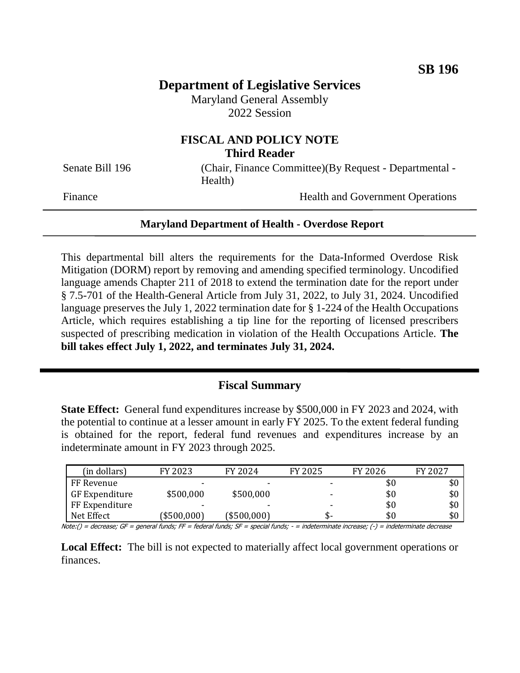# **Department of Legislative Services**

Maryland General Assembly 2022 Session

## **FISCAL AND POLICY NOTE Third Reader**

Senate Bill 196 (Chair, Finance Committee)(By Request - Departmental -Health)

Finance Health and Government Operations

### **Maryland Department of Health - Overdose Report**

This departmental bill alters the requirements for the Data-Informed Overdose Risk Mitigation (DORM) report by removing and amending specified terminology. Uncodified language amends Chapter 211 of 2018 to extend the termination date for the report under § 7.5-701 of the Health-General Article from July 31, 2022, to July 31, 2024. Uncodified language preserves the July 1, 2022 termination date for § 1-224 of the Health Occupations Article, which requires establishing a tip line for the reporting of licensed prescribers suspected of prescribing medication in violation of the Health Occupations Article. **The bill takes effect July 1, 2022, and terminates July 31, 2024.**

### **Fiscal Summary**

**State Effect:** General fund expenditures increase by \$500,000 in FY 2023 and 2024, with the potential to continue at a lesser amount in early FY 2025. To the extent federal funding is obtained for the report, federal fund revenues and expenditures increase by an indeterminate amount in FY 2023 through 2025.

| (in dollars)   | FY 2023     | FY 2024                  | FY 2025 | FY 2026 | FY 2027 |
|----------------|-------------|--------------------------|---------|---------|---------|
| FF Revenue     | -           | $\overline{\phantom{0}}$ |         | \$0     | \$0     |
| GF Expenditure | \$500,000   | \$500,000                | ۰       | \$0     | \$0     |
| FF Expenditure | -           | $\overline{\phantom{a}}$ | -       | \$0     | \$0     |
| Net Effect     | (\$500,000) | (\$500,000)              | ক-      | \$0     | \$0     |

Note:() = decrease; GF = general funds; FF = federal funds; SF = special funds; - = indeterminate increase; (-) = indeterminate decrease

**Local Effect:** The bill is not expected to materially affect local government operations or finances.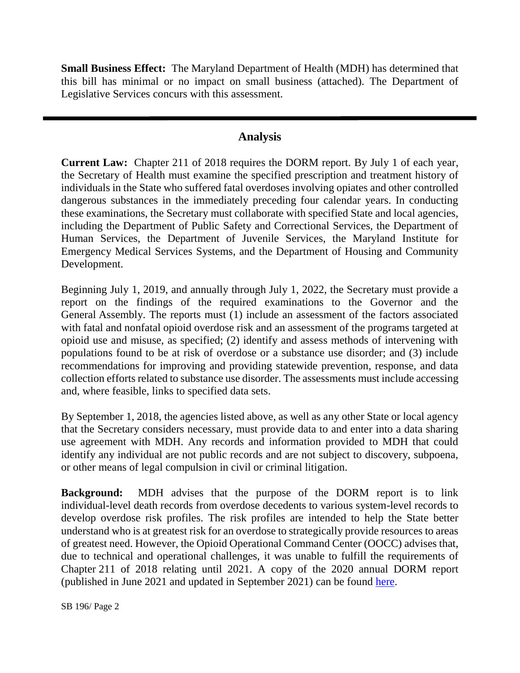**Small Business Effect:** The Maryland Department of Health (MDH) has determined that this bill has minimal or no impact on small business (attached). The Department of Legislative Services concurs with this assessment.

### **Analysis**

**Current Law:** Chapter 211 of 2018 requires the DORM report. By July 1 of each year, the Secretary of Health must examine the specified prescription and treatment history of individuals in the State who suffered fatal overdoses involving opiates and other controlled dangerous substances in the immediately preceding four calendar years. In conducting these examinations, the Secretary must collaborate with specified State and local agencies, including the Department of Public Safety and Correctional Services, the Department of Human Services, the Department of Juvenile Services, the Maryland Institute for Emergency Medical Services Systems, and the Department of Housing and Community Development.

Beginning July 1, 2019, and annually through July 1, 2022, the Secretary must provide a report on the findings of the required examinations to the Governor and the General Assembly. The reports must (1) include an assessment of the factors associated with fatal and nonfatal opioid overdose risk and an assessment of the programs targeted at opioid use and misuse, as specified; (2) identify and assess methods of intervening with populations found to be at risk of overdose or a substance use disorder; and (3) include recommendations for improving and providing statewide prevention, response, and data collection efforts related to substance use disorder. The assessments must include accessing and, where feasible, links to specified data sets.

By September 1, 2018, the agencies listed above, as well as any other State or local agency that the Secretary considers necessary, must provide data to and enter into a data sharing use agreement with MDH. Any records and information provided to MDH that could identify any individual are not public records and are not subject to discovery, subpoena, or other means of legal compulsion in civil or criminal litigation.

**Background:** MDH advises that the purpose of the DORM report is to link individual-level death records from overdose decedents to various system-level records to develop overdose risk profiles. The risk profiles are intended to help the State better understand who is at greatest risk for an overdose to strategically provide resources to areas of greatest need. However, the Opioid Operational Command Center (OOCC) advises that, due to technical and operational challenges, it was unable to fulfill the requirements of Chapter 211 of 2018 relating until 2021. A copy of the 2020 annual DORM report (published in June 2021 and updated in September 2021) can be found [here.](http://dlslibrary.state.md.us/publications/Exec/MDH/HG7.5-701_2020(rev).pdf)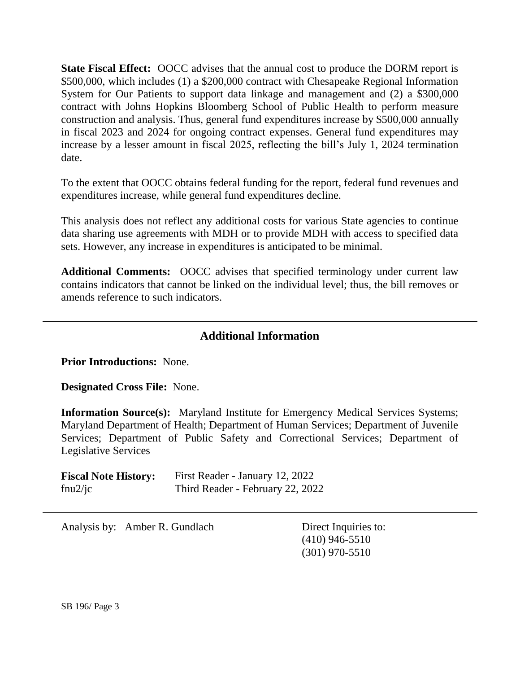**State Fiscal Effect:** OOCC advises that the annual cost to produce the DORM report is \$500,000, which includes (1) a \$200,000 contract with Chesapeake Regional Information System for Our Patients to support data linkage and management and (2) a \$300,000 contract with Johns Hopkins Bloomberg School of Public Health to perform measure construction and analysis. Thus, general fund expenditures increase by \$500,000 annually in fiscal 2023 and 2024 for ongoing contract expenses. General fund expenditures may increase by a lesser amount in fiscal 2025, reflecting the bill's July 1, 2024 termination date.

To the extent that OOCC obtains federal funding for the report, federal fund revenues and expenditures increase, while general fund expenditures decline.

This analysis does not reflect any additional costs for various State agencies to continue data sharing use agreements with MDH or to provide MDH with access to specified data sets. However, any increase in expenditures is anticipated to be minimal.

**Additional Comments:** OOCC advises that specified terminology under current law contains indicators that cannot be linked on the individual level; thus, the bill removes or amends reference to such indicators.

## **Additional Information**

**Prior Introductions:** None.

**Designated Cross File:** None.

**Information Source(s):** Maryland Institute for Emergency Medical Services Systems; Maryland Department of Health; Department of Human Services; Department of Juvenile Services; Department of Public Safety and Correctional Services; Department of Legislative Services

| <b>Fiscal Note History:</b> | First Reader - January 12, 2022  |
|-----------------------------|----------------------------------|
| fnu $2$ /jc                 | Third Reader - February 22, 2022 |

Analysis by: Amber R. Gundlach Direct Inquiries to:

(410) 946-5510 (301) 970-5510